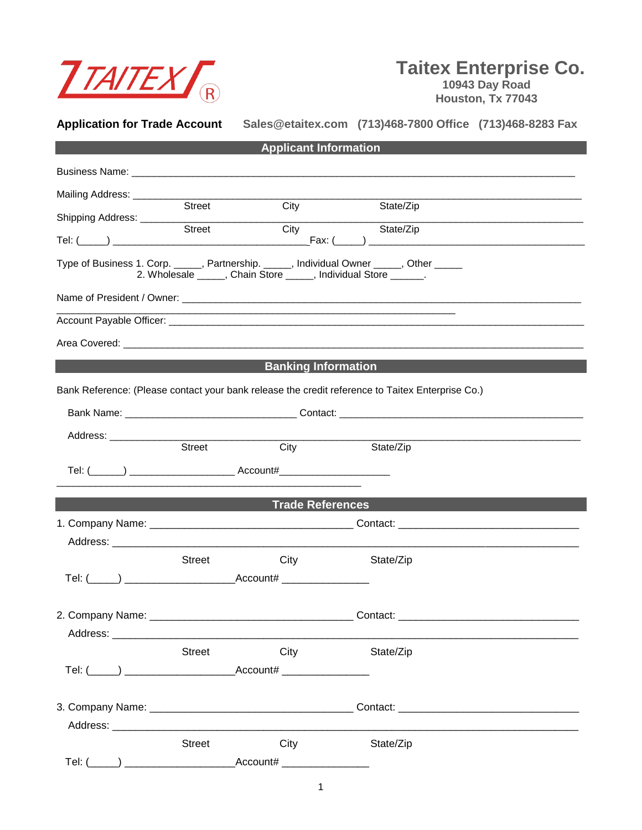

## **Taitex Enterprise Co.**

 **10943 Day Road Houston, Tx 77043**

| <b>Application for Trade Account</b> |               |                                                                                                                                                           |           | Sales@etaitex.com (713)468-7800 Office (713)468-8283 Fax |
|--------------------------------------|---------------|-----------------------------------------------------------------------------------------------------------------------------------------------------------|-----------|----------------------------------------------------------|
|                                      |               | <b>Applicant Information</b>                                                                                                                              |           |                                                          |
|                                      |               |                                                                                                                                                           |           |                                                          |
|                                      |               |                                                                                                                                                           |           |                                                          |
|                                      | Street        | City                                                                                                                                                      | State/Zip |                                                          |
|                                      |               |                                                                                                                                                           | State/Zip |                                                          |
|                                      |               | Type of Business 1. Corp. _____, Partnership. _____, Individual Owner _____, Other _____<br>2. Wholesale _____, Chain Store ____, Individual Store _____. |           |                                                          |
|                                      |               |                                                                                                                                                           |           |                                                          |
|                                      |               |                                                                                                                                                           |           |                                                          |
|                                      |               |                                                                                                                                                           |           |                                                          |
|                                      |               | <b>Example 19 Banking Information</b>                                                                                                                     |           |                                                          |
|                                      |               | Bank Reference: (Please contact your bank release the credit reference to Taitex Enterprise Co.)                                                          |           |                                                          |
|                                      |               |                                                                                                                                                           |           |                                                          |
| Address: ____________                |               |                                                                                                                                                           |           |                                                          |
|                                      | Street        | City                                                                                                                                                      | State/Zip |                                                          |
|                                      |               |                                                                                                                                                           |           |                                                          |
|                                      |               | <b>Example 2 Trade References</b>                                                                                                                         |           |                                                          |
|                                      |               |                                                                                                                                                           |           |                                                          |
|                                      |               |                                                                                                                                                           |           |                                                          |
|                                      | <b>Street</b> | <b>City City</b>                                                                                                                                          | State/Zip |                                                          |
|                                      |               |                                                                                                                                                           |           |                                                          |
|                                      |               |                                                                                                                                                           |           |                                                          |
|                                      |               |                                                                                                                                                           |           |                                                          |
|                                      | Street        | City                                                                                                                                                      | State/Zip |                                                          |
|                                      |               |                                                                                                                                                           |           |                                                          |
|                                      |               |                                                                                                                                                           |           |                                                          |
|                                      |               |                                                                                                                                                           |           |                                                          |
|                                      | <b>Street</b> | City                                                                                                                                                      | State/Zip |                                                          |
|                                      |               | $\textsf{Account#} \_\_\_\_\_\_\_\_\_\_\_\_\_\_\_\_\_\_\_\_\_\_\_\_\_\_\_\_$                                                                              |           |                                                          |